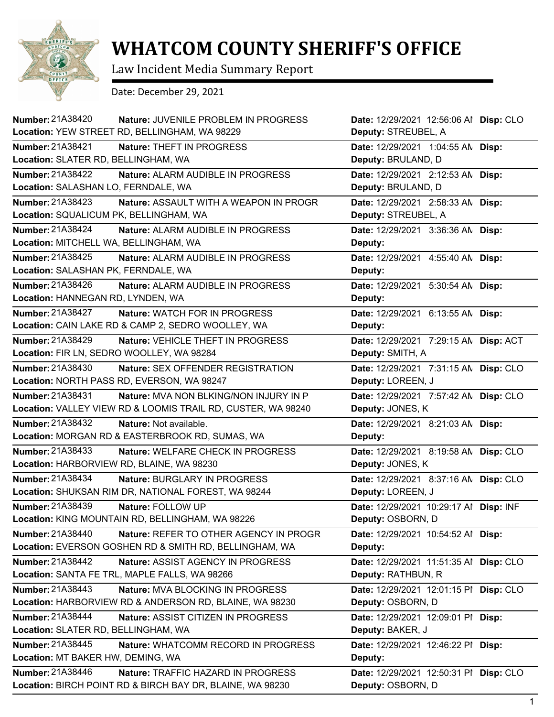

## **WHATCOM COUNTY SHERIFF'S OFFICE**

Law Incident Media Summary Report

Date: December 29, 2021

| <b>Number: 21A38420</b><br>Nature: JUVENILE PROBLEM IN PROGRESS   | Date: 12/29/2021 12:56:06 Al Disp: CLO |           |
|-------------------------------------------------------------------|----------------------------------------|-----------|
| Location: YEW STREET RD, BELLINGHAM, WA 98229                     | Deputy: STREUBEL, A                    |           |
| Number: 21A38421<br><b>Nature: THEFT IN PROGRESS</b>              | Date: 12/29/2021 1:04:55 AN Disp:      |           |
| Location: SLATER RD, BELLINGHAM, WA                               | Deputy: BRULAND, D                     |           |
| Number: 21A38422<br>Nature: ALARM AUDIBLE IN PROGRESS             | Date: 12/29/2021 2:12:53 AN Disp:      |           |
| Location: SALASHAN LO, FERNDALE, WA                               | Deputy: BRULAND, D                     |           |
| Number: 21A38423<br>Nature: ASSAULT WITH A WEAPON IN PROGR        | Date: 12/29/2021 2:58:33 AN Disp:      |           |
| Location: SQUALICUM PK, BELLINGHAM, WA                            | Deputy: STREUBEL, A                    |           |
| Number: 21A38424<br>Nature: ALARM AUDIBLE IN PROGRESS             | Date: 12/29/2021 3:36:36 AN Disp:      |           |
| Location: MITCHELL WA, BELLINGHAM, WA                             | Deputy:                                |           |
| Number: 21A38425<br>Nature: ALARM AUDIBLE IN PROGRESS             | Date: 12/29/2021 4:55:40 AM Disp:      |           |
| Location: SALASHAN PK, FERNDALE, WA                               | Deputy:                                |           |
| Number: 21A38426<br>Nature: ALARM AUDIBLE IN PROGRESS             | Date: 12/29/2021 5:30:54 AN Disp:      |           |
| Location: HANNEGAN RD, LYNDEN, WA                                 | Deputy:                                |           |
| Number: 21A38427<br>Nature: WATCH FOR IN PROGRESS                 | Date: 12/29/2021 6:13:55 AN Disp:      |           |
| Location: CAIN LAKE RD & CAMP 2, SEDRO WOOLLEY, WA                | Deputy:                                |           |
| Number: 21A38429<br>Nature: VEHICLE THEFT IN PROGRESS             | Date: 12/29/2021 7:29:15 AN Disp: ACT  |           |
| Location: FIR LN, SEDRO WOOLLEY, WA 98284                         | Deputy: SMITH, A                       |           |
| Number: 21A38430<br>Nature: SEX OFFENDER REGISTRATION             | Date: 12/29/2021 7:31:15 AN            | Disp: CLO |
| Location: NORTH PASS RD, EVERSON, WA 98247                        | Deputy: LOREEN, J                      |           |
| Number: 21A38431<br><b>Nature: MVA NON BLKING/NON INJURY IN P</b> | Date: 12/29/2021 7:57:42 AN Disp: CLO  |           |
| Location: VALLEY VIEW RD & LOOMIS TRAIL RD, CUSTER, WA 98240      | Deputy: JONES, K                       |           |
| <b>Number: 21A38432</b><br>Nature: Not available.                 | Date: 12/29/2021 8:21:03 AN Disp:      |           |
| Location: MORGAN RD & EASTERBROOK RD, SUMAS, WA                   | Deputy:                                |           |
| Number: 21A38433<br>Nature: WELFARE CHECK IN PROGRESS             | Date: 12/29/2021 8:19:58 AN Disp: CLO  |           |
| Location: HARBORVIEW RD, BLAINE, WA 98230                         | Deputy: JONES, K                       |           |
| <b>Number: 21A38434</b><br>Nature: BURGLARY IN PROGRESS           | Date: 12/29/2021 8:37:16 AN Disp: CLO  |           |
| Location: SHUKSAN RIM DR, NATIONAL FOREST, WA 98244               | Deputy: LOREEN, J                      |           |
| Number: 21A38439<br>Nature: FOLLOW UP                             | Date: 12/29/2021 10:29:17 Al Disp: INF |           |
| Location: KING MOUNTAIN RD, BELLINGHAM, WA 98226                  | Deputy: OSBORN, D                      |           |
| Number: 21A38440<br>Nature: REFER TO OTHER AGENCY IN PROGR        | Date: 12/29/2021 10:54:52 Al Disp:     |           |
| Location: EVERSON GOSHEN RD & SMITH RD, BELLINGHAM, WA            | Deputy:                                |           |
| Number: 21A38442<br>Nature: ASSIST AGENCY IN PROGRESS             | Date: 12/29/2021 11:51:35 Al Disp: CLO |           |
| Location: SANTA FE TRL, MAPLE FALLS, WA 98266                     | Deputy: RATHBUN, R                     |           |
| Number: 21A38443<br>Nature: MVA BLOCKING IN PROGRESS              | Date: 12/29/2021 12:01:15 PI Disp: CLO |           |
| Location: HARBORVIEW RD & ANDERSON RD, BLAINE, WA 98230           | Deputy: OSBORN, D                      |           |
| Number: 21A38444<br>Nature: ASSIST CITIZEN IN PROGRESS            | Date: 12/29/2021 12:09:01 PI Disp:     |           |
| Location: SLATER RD, BELLINGHAM, WA                               | Deputy: BAKER, J                       |           |
| Number: 21A38445<br>Nature: WHATCOMM RECORD IN PROGRESS           | Date: 12/29/2021 12:46:22 PI Disp:     |           |
| Location: MT BAKER HW, DEMING, WA                                 | Deputy:                                |           |
| Number: 21A38446<br>Nature: TRAFFIC HAZARD IN PROGRESS            | Date: 12/29/2021 12:50:31 PI           | Disp: CLO |
| Location: BIRCH POINT RD & BIRCH BAY DR, BLAINE, WA 98230         | Deputy: OSBORN, D                      |           |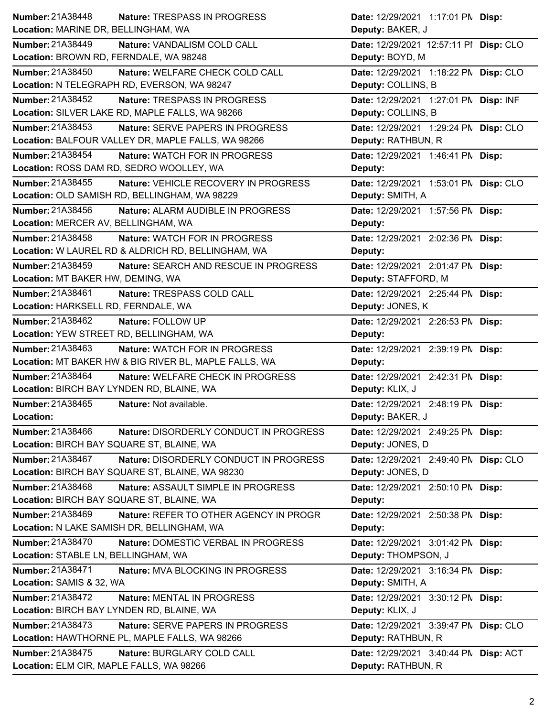| Number: 21A38448<br>Nature: TRESPASS IN PROGRESS           | Date: 12/29/2021 1:17:01 PM Disp:            |
|------------------------------------------------------------|----------------------------------------------|
| Location: MARINE DR, BELLINGHAM, WA                        | Deputy: BAKER, J                             |
| Number: 21A38449<br>Nature: VANDALISM COLD CALL            | Date: 12/29/2021 12:57:11 PI Disp: CLO       |
| Location: BROWN RD, FERNDALE, WA 98248                     | Deputy: BOYD, M                              |
| Number: 21A38450<br>Nature: WELFARE CHECK COLD CALL        | Date: 12/29/2021 1:18:22 PM Disp: CLO        |
| Location: N TELEGRAPH RD, EVERSON, WA 98247                | Deputy: COLLINS, B                           |
| Number: 21A38452<br>Nature: TRESPASS IN PROGRESS           | Date: 12/29/2021 1:27:01 PM Disp: INF        |
| Location: SILVER LAKE RD, MAPLE FALLS, WA 98266            | Deputy: COLLINS, B                           |
| Number: 21A38453<br>Nature: SERVE PAPERS IN PROGRESS       | Date: 12/29/2021 1:29:24 PM Disp: CLO        |
| Location: BALFOUR VALLEY DR, MAPLE FALLS, WA 98266         | Deputy: RATHBUN, R                           |
| Number: 21A38454<br>Nature: WATCH FOR IN PROGRESS          | Date: 12/29/2021 1:46:41 PM Disp:            |
| Location: ROSS DAM RD, SEDRO WOOLLEY, WA                   | Deputy:                                      |
| Number: 21A38455<br>Nature: VEHICLE RECOVERY IN PROGRESS   | Date: 12/29/2021 1:53:01 PM Disp: CLO        |
| Location: OLD SAMISH RD, BELLINGHAM, WA 98229              | Deputy: SMITH, A                             |
| Number: 21A38456<br>Nature: ALARM AUDIBLE IN PROGRESS      | Date: 12/29/2021 1:57:56 PM Disp:            |
| Location: MERCER AV, BELLINGHAM, WA                        | Deputy:                                      |
| Number: 21A38458<br><b>Nature: WATCH FOR IN PROGRESS</b>   | Date: 12/29/2021 2:02:36 PM Disp:            |
| Location: W LAUREL RD & ALDRICH RD, BELLINGHAM, WA         | Deputy:                                      |
| Number: 21A38459<br>Nature: SEARCH AND RESCUE IN PROGRESS  | Date: 12/29/2021 2:01:47 PM Disp:            |
| Location: MT BAKER HW, DEMING, WA                          | Deputy: STAFFORD, M                          |
| Number: 21A38461<br>Nature: TRESPASS COLD CALL             | Date: 12/29/2021 2:25:44 PM Disp:            |
| Location: HARKSELL RD, FERNDALE, WA                        | Deputy: JONES, K                             |
| Number: 21A38462<br>Nature: FOLLOW UP                      | Date: 12/29/2021 2:26:53 PM Disp:            |
| Location: YEW STREET RD, BELLINGHAM, WA                    | Deputy:                                      |
| <b>Number: 21A38463</b><br>Nature: WATCH FOR IN PROGRESS   | Date: 12/29/2021 2:39:19 PM Disp:            |
|                                                            |                                              |
| Location: MT BAKER HW & BIG RIVER BL, MAPLE FALLS, WA      | Deputy:                                      |
| Number: 21A38464<br>Nature: WELFARE CHECK IN PROGRESS      | Date: 12/29/2021 2:42:31 PM Disp:            |
| Location: BIRCH BAY LYNDEN RD, BLAINE, WA                  | Deputy: KLIX, J                              |
| Number: 21A38465<br>Nature: Not available.                 | Date: 12/29/2021 2:48:19 PM Disp:            |
| Location:                                                  | Deputy: BAKER, J                             |
| Number: 21A38466<br>Nature: DISORDERLY CONDUCT IN PROGRESS | Date: 12/29/2021 2:49:25 PM Disp:            |
| Location: BIRCH BAY SQUARE ST, BLAINE, WA                  | Deputy: JONES, D                             |
| Number: 21A38467<br>Nature: DISORDERLY CONDUCT IN PROGRESS | Date: 12/29/2021 2:49:40 PM Disp: CLO        |
| Location: BIRCH BAY SQUARE ST, BLAINE, WA 98230            | Deputy: JONES, D                             |
| Number: 21A38468<br>Nature: ASSAULT SIMPLE IN PROGRESS     |                                              |
| Location: BIRCH BAY SQUARE ST, BLAINE, WA                  | Date: 12/29/2021 2:50:10 PM Disp:<br>Deputy: |
| Number: 21A38469<br>Nature: REFER TO OTHER AGENCY IN PROGR |                                              |
| Location: N LAKE SAMISH DR, BELLINGHAM, WA                 | Date: 12/29/2021 2:50:38 PM Disp:<br>Deputy: |
| Number: 21A38470<br>Nature: DOMESTIC VERBAL IN PROGRESS    | Date: 12/29/2021 3:01:42 PM Disp:            |
| Location: STABLE LN, BELLINGHAM, WA                        | Deputy: THOMPSON, J                          |
| Number: 21A38471<br>Nature: MVA BLOCKING IN PROGRESS       | Date: 12/29/2021 3:16:34 PM Disp:            |
| Location: SAMIS & 32, WA                                   | Deputy: SMITH, A                             |
| Number: 21A38472<br>Nature: MENTAL IN PROGRESS             | Date: 12/29/2021 3:30:12 PM Disp:            |
| Location: BIRCH BAY LYNDEN RD, BLAINE, WA                  | Deputy: KLIX, J                              |
| Number: 21A38473<br>Nature: SERVE PAPERS IN PROGRESS       | Date: 12/29/2021 3:39:47 PM Disp: CLO        |
| Location: HAWTHORNE PL, MAPLE FALLS, WA 98266              | Deputy: RATHBUN, R                           |
| Number: 21A38475<br>Nature: BURGLARY COLD CALL             | Date: 12/29/2021 3:40:44 PM Disp: ACT        |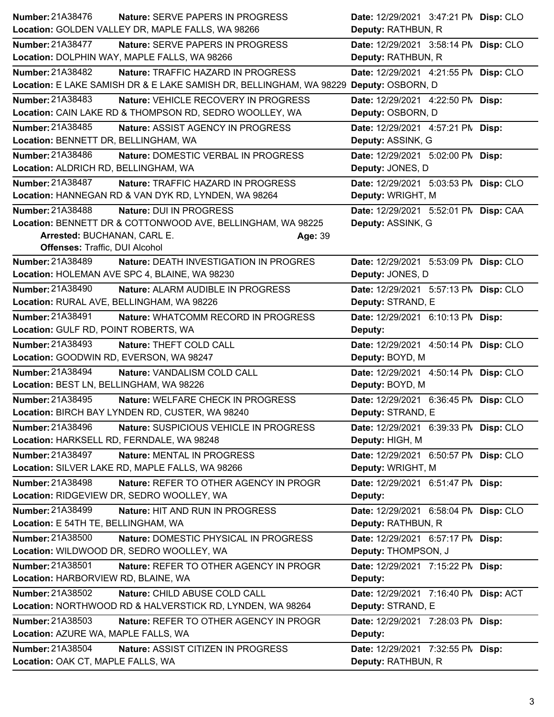|                                           | Nature: SERVE PAPERS IN PROGRESS                                                      | Date: 12/29/2021 3:47:21 PM Disp: CLO |  |
|-------------------------------------------|---------------------------------------------------------------------------------------|---------------------------------------|--|
|                                           | Location: GOLDEN VALLEY DR, MAPLE FALLS, WA 98266                                     | Deputy: RATHBUN, R                    |  |
| <b>Number: 21A38477</b>                   | Nature: SERVE PAPERS IN PROGRESS                                                      | Date: 12/29/2021 3:58:14 PN Disp: CLO |  |
|                                           | Location: DOLPHIN WAY, MAPLE FALLS, WA 98266                                          | Deputy: RATHBUN, R                    |  |
| Number: 21A38482                          | Nature: TRAFFIC HAZARD IN PROGRESS                                                    | Date: 12/29/2021 4:21:55 PN Disp: CLO |  |
|                                           | Location: E LAKE SAMISH DR & E LAKE SAMISH DR, BELLINGHAM, WA 98229 Deputy: OSBORN, D |                                       |  |
| Number: 21A38483                          | Nature: VEHICLE RECOVERY IN PROGRESS                                                  | Date: 12/29/2021 4:22:50 PM Disp:     |  |
|                                           | Location: CAIN LAKE RD & THOMPSON RD, SEDRO WOOLLEY, WA                               | Deputy: OSBORN, D                     |  |
| Number: 21A38485                          | Nature: ASSIST AGENCY IN PROGRESS                                                     | Date: 12/29/2021 4:57:21 PM Disp:     |  |
| Location: BENNETT DR, BELLINGHAM, WA      |                                                                                       | Deputy: ASSINK, G                     |  |
| Number: 21A38486                          | Nature: DOMESTIC VERBAL IN PROGRESS                                                   | Date: 12/29/2021 5:02:00 PM Disp:     |  |
| Location: ALDRICH RD, BELLINGHAM, WA      |                                                                                       | Deputy: JONES, D                      |  |
| Number: 21A38487                          | Nature: TRAFFIC HAZARD IN PROGRESS                                                    | Date: 12/29/2021 5:03:53 PM Disp: CLO |  |
|                                           | Location: HANNEGAN RD & VAN DYK RD, LYNDEN, WA 98264                                  | Deputy: WRIGHT, M                     |  |
| Number: 21A38488                          | Nature: DUI IN PROGRESS                                                               | Date: 12/29/2021 5:52:01 PM Disp: CAA |  |
|                                           | Location: BENNETT DR & COTTONWOOD AVE, BELLINGHAM, WA 98225                           | Deputy: ASSINK, G                     |  |
| Arrested: BUCHANAN, CARL E.               | Age: 39                                                                               |                                       |  |
| <b>Offenses: Traffic, DUI Alcohol</b>     |                                                                                       |                                       |  |
| Number: 21A38489                          | <b>Nature: DEATH INVESTIGATION IN PROGRES</b>                                         | Date: 12/29/2021 5:53:09 PN Disp: CLO |  |
|                                           | Location: HOLEMAN AVE SPC 4, BLAINE, WA 98230                                         | Deputy: JONES, D                      |  |
| Number: 21A38490                          | Nature: ALARM AUDIBLE IN PROGRESS                                                     | Date: 12/29/2021 5:57:13 PM Disp: CLO |  |
| Location: RURAL AVE, BELLINGHAM, WA 98226 |                                                                                       | Deputy: STRAND, E                     |  |
| Number: 21A38491                          | Nature: WHATCOMM RECORD IN PROGRESS                                                   | Date: 12/29/2021 6:10:13 PM Disp:     |  |
| Location: GULF RD, POINT ROBERTS, WA      |                                                                                       | Deputy:                               |  |
| Number: 21A38493                          | Nature: THEFT COLD CALL                                                               | Date: 12/29/2021 4:50:14 PN Disp: CLO |  |
| Location: GOODWIN RD, EVERSON, WA 98247   |                                                                                       | Deputy: BOYD, M                       |  |
|                                           |                                                                                       |                                       |  |
| Number: 21A38494                          | Nature: VANDALISM COLD CALL                                                           | Date: 12/29/2021 4:50:14 PM Disp: CLO |  |
| Location: BEST LN, BELLINGHAM, WA 98226   |                                                                                       | Deputy: BOYD, M                       |  |
| Number: 21A38495                          | Nature: WELFARE CHECK IN PROGRESS                                                     | Date: 12/29/2021 6:36:45 PM Disp: CLO |  |
|                                           | Location: BIRCH BAY LYNDEN RD, CUSTER, WA 98240                                       | Deputy: STRAND, E                     |  |
| Number: 21A38496                          | Nature: SUSPICIOUS VEHICLE IN PROGRESS                                                | Date: 12/29/2021 6:39:33 PN Disp: CLO |  |
|                                           | Location: HARKSELL RD, FERNDALE, WA 98248                                             | Deputy: HIGH, M                       |  |
| <b>Number: 21A38497</b>                   | Nature: MENTAL IN PROGRESS                                                            | Date: 12/29/2021 6:50:57 PN Disp: CLO |  |
|                                           | Location: SILVER LAKE RD, MAPLE FALLS, WA 98266                                       | Deputy: WRIGHT, M                     |  |
| Number: 21A38498                          | Nature: REFER TO OTHER AGENCY IN PROGR                                                | Date: 12/29/2021 6:51:47 PM Disp:     |  |
|                                           | Location: RIDGEVIEW DR, SEDRO WOOLLEY, WA                                             | Deputy:                               |  |
| Number: 21A38499                          | Nature: HIT AND RUN IN PROGRESS                                                       | Date: 12/29/2021 6:58:04 PM Disp: CLO |  |
| Location: E 54TH TE, BELLINGHAM, WA       |                                                                                       | Deputy: RATHBUN, R                    |  |
| Number: 21A38500                          | Nature: DOMESTIC PHYSICAL IN PROGRESS                                                 | Date: 12/29/2021 6:57:17 PM Disp:     |  |
|                                           | Location: WILDWOOD DR, SEDRO WOOLLEY, WA                                              | Deputy: THOMPSON, J                   |  |
| Number: 21A38501                          | Nature: REFER TO OTHER AGENCY IN PROGR                                                | Date: 12/29/2021 7:15:22 PM Disp:     |  |
| Location: HARBORVIEW RD, BLAINE, WA       |                                                                                       | Deputy:                               |  |
| Number: 21A38502                          | Nature: CHILD ABUSE COLD CALL                                                         | Date: 12/29/2021 7:16:40 PM Disp: ACT |  |
|                                           | Location: NORTHWOOD RD & HALVERSTICK RD, LYNDEN, WA 98264                             | Deputy: STRAND, E                     |  |
| Number: 21A38503                          | Nature: REFER TO OTHER AGENCY IN PROGR                                                | Date: 12/29/2021 7:28:03 PM Disp:     |  |
| Location: AZURE WA, MAPLE FALLS, WA       |                                                                                       | Deputy:                               |  |
| Number: 21A38504                          | Nature: ASSIST CITIZEN IN PROGRESS                                                    | Date: 12/29/2021 7:32:55 PM Disp:     |  |